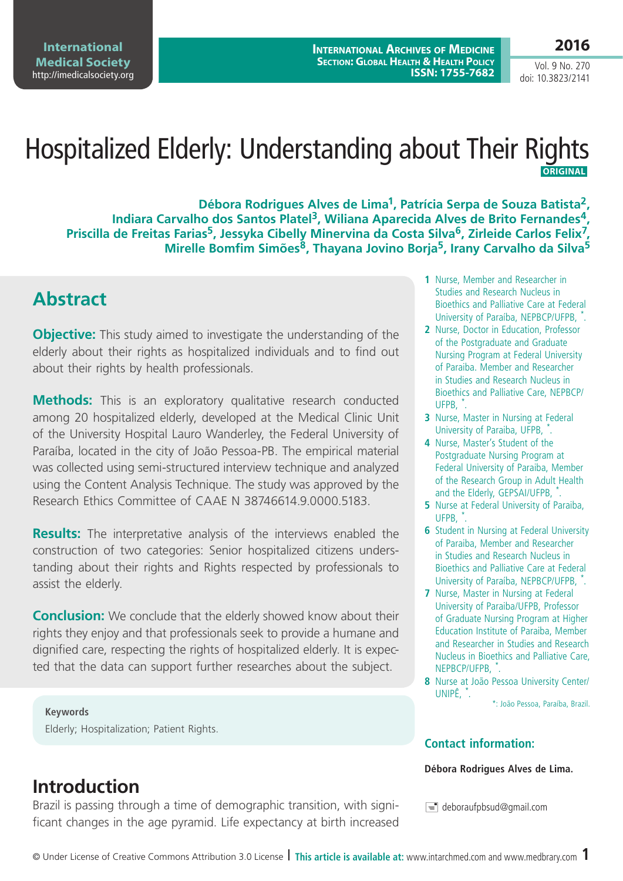**International Archives of Medicine Section: Global Health & Health Policy ISSN: 1755-7682**

Vol. 9 No. 270 doi: 10.3823/2141

# Hospitalized Elderly: Understanding about Their Rights  **ORIGINAL**

**Débora Rodrigues Alves de Lima1, Patrícia Serpa de Souza Batista2,**  Indiara Carvalho dos Santos Platel<sup>3</sup>, Wiliana Aparecida Alves de Brito Fernandes<sup>4</sup>, **Priscilla de Freitas Farias<sup>5</sup>, Jessyka Cibelly Minervina da Costa Silva<sup>6</sup>, Zirleide Carlos Felix<sup>7</sup>, Mirelle Bomfim Simões8, Thayana Jovino Borja5, Irany Carvalho da Silva5**

# **Abstract**

**Objective:** This study aimed to investigate the understanding of the elderly about their rights as hospitalized individuals and to find out about their rights by health professionals.

**Methods:** This is an exploratory qualitative research conducted among 20 hospitalized elderly, developed at the Medical Clinic Unit of the University Hospital Lauro Wanderley, the Federal University of Paraíba, located in the city of João Pessoa-PB. The empirical material was collected using semi-structured interview technique and analyzed using the Content Analysis Technique. The study was approved by the Research Ethics Committee of CAAE N 38746614.9.0000.5183.

**Results:** The interpretative analysis of the interviews enabled the construction of two categories: Senior hospitalized citizens understanding about their rights and Rights respected by professionals to assist the elderly.

**Conclusion:** We conclude that the elderly showed know about their rights they enjoy and that professionals seek to provide a humane and dignified care, respecting the rights of hospitalized elderly. It is expected that the data can support further researches about the subject.

**Keywords** Elderly; Hospitalization; Patient Rights.

## **Introduction**

Brazil is passing through a time of demographic transition, with significant changes in the age pyramid. Life expectancy at birth increased

- **1** Nurse, Member and Researcher in Studies and Research Nucleus in Bioethics and Palliative Care at Federal University of Paraíba, NEPBCP/UFPB, \* .
- **2** Nurse, Doctor in Education, Professor of the Postgraduate and Graduate Nursing Program at Federal University of Paraiba. Member and Researcher in Studies and Research Nucleus in Bioethics and Palliative Care, NEPBCP/ UFPB, \* .
- **3** Nurse, Master in Nursing at Federal University of Paraiba, UFPB, \* .
- **4** Nurse, Master's Student of the Postgraduate Nursing Program at Federal University of Paraiba, Member of the Research Group in Adult Health and the Elderly, GEPSAI/UFPB, \* .
- **5** Nurse at Federal University of Paraiba, UFPB, \* .
- **6** Student in Nursing at Federal University of Paraiba, Member and Researcher in Studies and Research Nucleus in Bioethics and Palliative Care at Federal University of Paraíba, NEPBCP/UFPB, \* .
- **7** Nurse, Master in Nursing at Federal University of Paraiba/UFPB, Professor of Graduate Nursing Program at Higher Education Institute of Paraiba, Member and Researcher in Studies and Research Nucleus in Bioethics and Palliative Care, NEPBCP/UFPB, \* .
- **8** Nurse at João Pessoa University Center/ UNIPÊ, \* .

\*: João Pessoa, Paraíba, Brazil.

#### **Contact information:**

#### **Débora Rodrigues Alves de Lima.**

 $\equiv$  deboraufpbsud@gmail.com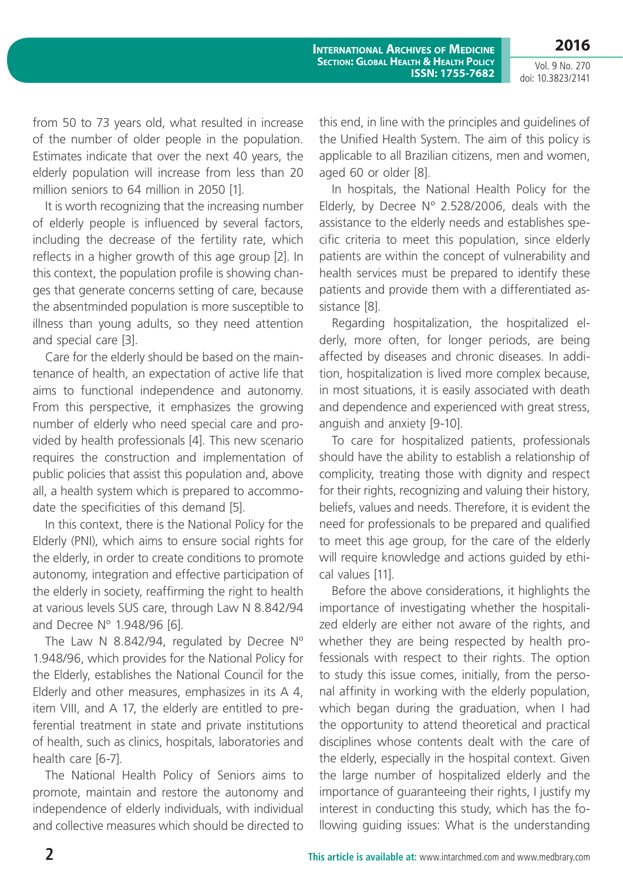Vol. 9 No. 270 doi: 10.3823/2141

from 50 to 73 years old, what resulted in increase of the number of older people in the population. Estimates indicate that over the next 40 years, the elderly population will increase from less than 20 million seniors to 64 million in 2050 [1].

It is worth recognizing that the increasing number of elderly people is influenced by several factors, including the decrease of the fertility rate, which reflects in a higher growth of this age group [2]. In this context, the population profile is showing changes that generate concerns setting of care, because the absentminded population is more susceptible to illness than young adults, so they need attention and special care [3].

Care for the elderly should be based on the maintenance of health, an expectation of active life that aims to functional independence and autonomy. From this perspective, it emphasizes the growing number of elderly who need special care and provided by health professionals [4]. This new scenario requires the construction and implementation of public policies that assist this population and, above all, a health system which is prepared to accommodate the specificities of this demand [5].

In this context, there is the National Policy for the Elderly (PNI), which aims to ensure social rights for the elderly, in order to create conditions to promote autonomy, integration and effective participation of the elderly in society, reaffirming the right to health at various levels SUS care, through Law N 8.842/94 and Decree Nº 1.948/96 [6].

The Law N 8.842/94, regulated by Decree N° 1.948/96, which provides for the National Policy for the Elderly, establishes the National Council for the Elderly and other measures, emphasizes in its A 4, item VIII, and A 17, the elderly are entitled to preferential treatment in state and private institutions of health, such as clinics, hospitals, laboratories and health care [6-7].

The National Health Policy of Seniors aims to promote, maintain and restore the autonomy and independence of elderly individuals, with individual and collective measures which should be directed to this end, in line with the principles and guidelines of the Unified Health System. The aim of this policy is applicable to all Brazilian citizens, men and women, aged 60 or older [8].

In hospitals, the National Health Policy for the Elderly, by Decree Nº 2.528/2006, deals with the assistance to the elderly needs and establishes specific criteria to meet this population, since elderly patients are within the concept of vulnerability and health services must be prepared to identify these patients and provide them with a differentiated assistance [8].

Regarding hospitalization, the hospitalized elderly, more often, for longer periods, are being affected by diseases and chronic diseases. In addition, hospitalization is lived more complex because, in most situations, it is easily associated with death and dependence and experienced with great stress, anguish and anxiety [9-10].

To care for hospitalized patients, professionals should have the ability to establish a relationship of complicity, treating those with dignity and respect for their rights, recognizing and valuing their history, beliefs, values and needs. Therefore, it is evident the need for professionals to be prepared and qualified to meet this age group, for the care of the elderly will require knowledge and actions guided by ethical values [11].

Before the above considerations, it highlights the importance of investigating whether the hospitalized elderly are either not aware of the rights, and whether they are being respected by health professionals with respect to their rights. The option to study this issue comes, initially, from the personal affinity in working with the elderly population, which began during the graduation, when I had the opportunity to attend theoretical and practical disciplines whose contents dealt with the care of the elderly, especially in the hospital context. Given the large number of hospitalized elderly and the importance of guaranteeing their rights, I justify my interest in conducting this study, which has the following guiding issues: What is the understanding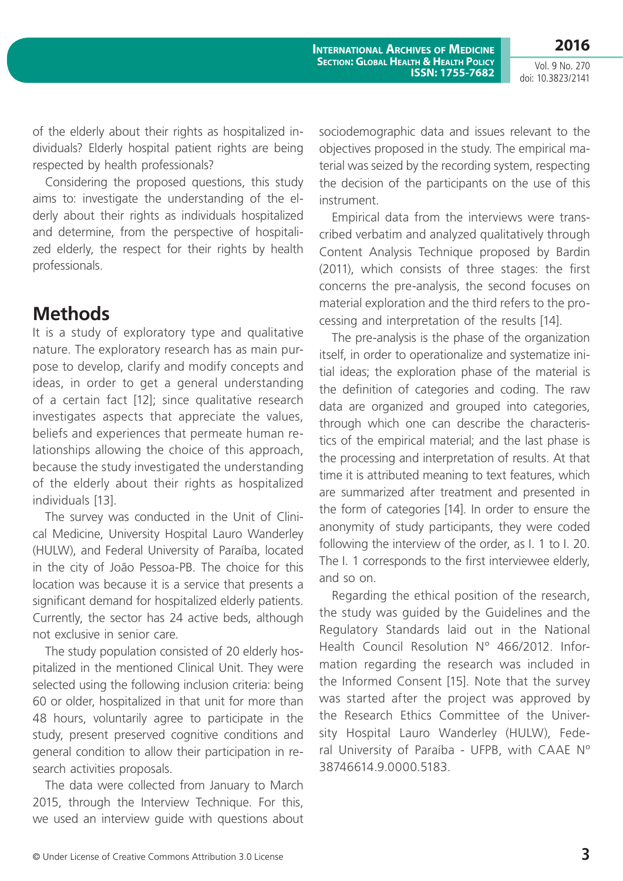**2016**

of the elderly about their rights as hospitalized individuals? Elderly hospital patient rights are being respected by health professionals?

Considering the proposed questions, this study aims to: investigate the understanding of the elderly about their rights as individuals hospitalized and determine, from the perspective of hospitalized elderly, the respect for their rights by health professionals.

## **Methods**

It is a study of exploratory type and qualitative nature. The exploratory research has as main purpose to develop, clarify and modify concepts and ideas, in order to get a general understanding of a certain fact [12]; since qualitative research investigates aspects that appreciate the values, beliefs and experiences that permeate human relationships allowing the choice of this approach, because the study investigated the understanding of the elderly about their rights as hospitalized individuals [13].

The survey was conducted in the Unit of Clinical Medicine, University Hospital Lauro Wanderley (HULW), and Federal University of Paraíba, located in the city of João Pessoa-PB. The choice for this location was because it is a service that presents a significant demand for hospitalized elderly patients. Currently, the sector has 24 active beds, although not exclusive in senior care.

The study population consisted of 20 elderly hospitalized in the mentioned Clinical Unit. They were selected using the following inclusion criteria: being 60 or older, hospitalized in that unit for more than 48 hours, voluntarily agree to participate in the study, present preserved cognitive conditions and general condition to allow their participation in research activities proposals.

The data were collected from January to March 2015, through the Interview Technique. For this, we used an interview guide with questions about

sociodemographic data and issues relevant to the objectives proposed in the study. The empirical material was seized by the recording system, respecting the decision of the participants on the use of this instrument.

Empirical data from the interviews were transcribed verbatim and analyzed qualitatively through Content Analysis Technique proposed by Bardin (2011), which consists of three stages: the first concerns the pre-analysis, the second focuses on material exploration and the third refers to the processing and interpretation of the results [14].

The pre-analysis is the phase of the organization itself, in order to operationalize and systematize initial ideas; the exploration phase of the material is the definition of categories and coding. The raw data are organized and grouped into categories, through which one can describe the characteristics of the empirical material; and the last phase is the processing and interpretation of results. At that time it is attributed meaning to text features, which are summarized after treatment and presented in the form of categories [14]. In order to ensure the anonymity of study participants, they were coded following the interview of the order, as I. 1 to I. 20. The I. 1 corresponds to the first interviewee elderly, and so on.

Regarding the ethical position of the research, the study was guided by the Guidelines and the Regulatory Standards laid out in the National Health Council Resolution Nº 466/2012. Information regarding the research was included in the Informed Consent [15]. Note that the survey was started after the project was approved by the Research Ethics Committee of the University Hospital Lauro Wanderley (HULW), Federal University of Paraíba - UFPB, with CAAE Nº 38746614.9.0000.5183.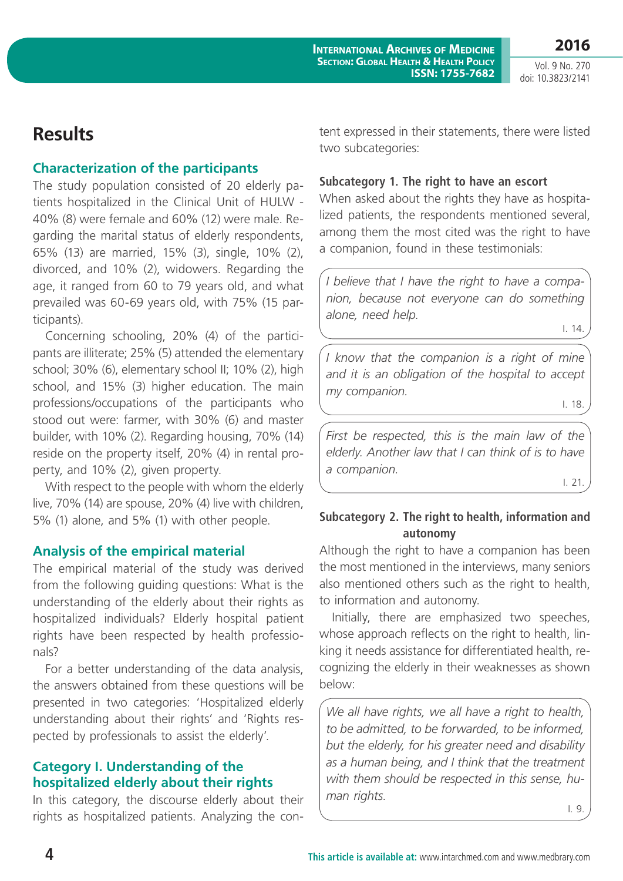## **Results**

#### **Characterization of the participants**

The study population consisted of 20 elderly patients hospitalized in the Clinical Unit of HULW - 40% (8) were female and 60% (12) were male. Regarding the marital status of elderly respondents, 65% (13) are married, 15% (3), single, 10% (2), divorced, and 10% (2), widowers. Regarding the age, it ranged from 60 to 79 years old, and what prevailed was 60-69 years old, with 75% (15 participants).

Concerning schooling, 20% (4) of the participants are illiterate; 25% (5) attended the elementary school; 30% (6), elementary school II; 10% (2), high school, and 15% (3) higher education. The main professions/occupations of the participants who stood out were: farmer, with 30% (6) and master builder, with 10% (2). Regarding housing, 70% (14) reside on the property itself, 20% (4) in rental property, and 10% (2), given property.

With respect to the people with whom the elderly live, 70% (14) are spouse, 20% (4) live with children, 5% (1) alone, and 5% (1) with other people.

### **Analysis of the empirical material**

The empirical material of the study was derived from the following guiding questions: What is the understanding of the elderly about their rights as hospitalized individuals? Elderly hospital patient rights have been respected by health professionals?

For a better understanding of the data analysis, the answers obtained from these questions will be presented in two categories: 'Hospitalized elderly understanding about their rights' and 'Rights respected by professionals to assist the elderly'.

### **Category I. Understanding of the hospitalized elderly about their rights**

In this category, the discourse elderly about their rights as hospitalized patients. Analyzing the content expressed in their statements, there were listed two subcategories:

#### **Subcategory 1. The right to have an escort**

When asked about the rights they have as hospitalized patients, the respondents mentioned several, among them the most cited was the right to have a companion, found in these testimonials:

*I believe that I have the right to have a companion, because not everyone can do something alone, need help.*

I. 14.

*I know that the companion is a right of mine and it is an obligation of the hospital to accept my companion.*

I. 18.

*First be respected, this is the main law of the elderly. Another law that I can think of is to have a companion.*

I. 21.

### **Subcategory 2. The right to health, information and autonomy**

Although the right to have a companion has been the most mentioned in the interviews, many seniors also mentioned others such as the right to health, to information and autonomy.

Initially, there are emphasized two speeches, whose approach reflects on the right to health, linking it needs assistance for differentiated health, recognizing the elderly in their weaknesses as shown below:

*We all have rights, we all have a right to health, to be admitted, to be forwarded, to be informed, but the elderly, for his greater need and disability as a human being, and I think that the treatment with them should be respected in this sense, human rights.*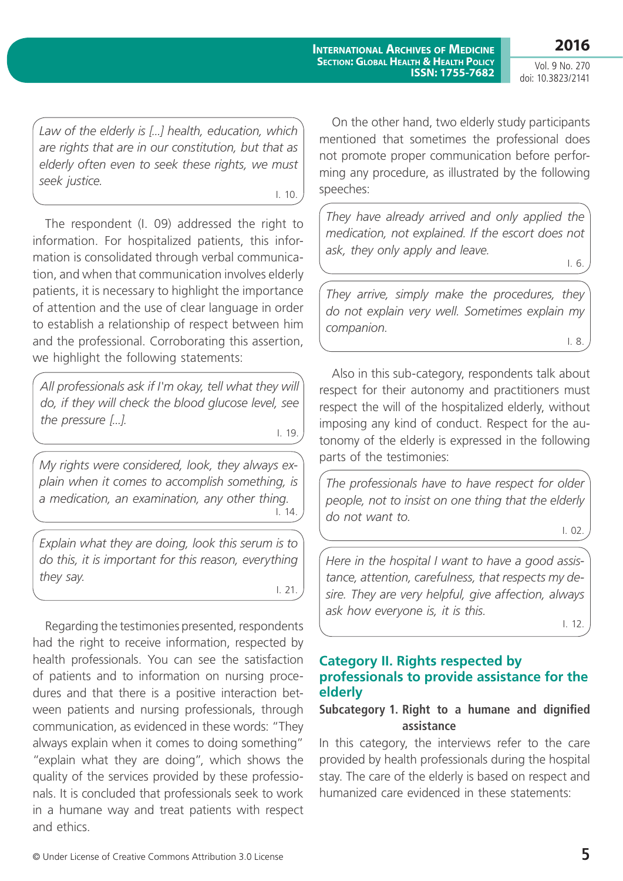Vol. 9 No. 270 doi: 10.3823/2141

*Law of the elderly is [...] health, education, which are rights that are in our constitution, but that as elderly often even to seek these rights, we must seek justice.*

I. 10.

The respondent (I. 09) addressed the right to information. For hospitalized patients, this information is consolidated through verbal communication, and when that communication involves elderly patients, it is necessary to highlight the importance of attention and the use of clear language in order to establish a relationship of respect between him and the professional. Corroborating this assertion, we highlight the following statements:

*All professionals ask if I'm okay, tell what they will do, if they will check the blood glucose level, see the pressure [...].*

I. 19.

*My rights were considered, look, they always explain when it comes to accomplish something, is a medication, an examination, any other thing.*  $1.14$ 

*Explain what they are doing, look this serum is to do this, it is important for this reason, everything they say.* I. 21.

Regarding the testimonies presented, respondents had the right to receive information, respected by health professionals. You can see the satisfaction of patients and to information on nursing procedures and that there is a positive interaction between patients and nursing professionals, through communication, as evidenced in these words: "They always explain when it comes to doing something" "explain what they are doing", which shows the quality of the services provided by these professionals. It is concluded that professionals seek to work in a humane way and treat patients with respect and ethics.

On the other hand, two elderly study participants mentioned that sometimes the professional does not promote proper communication before performing any procedure, as illustrated by the following speeches:

*They have already arrived and only applied the medication, not explained. If the escort does not ask, they only apply and leave.* I. 6.

*They arrive, simply make the procedures, they do not explain very well. Sometimes explain my companion.* I. 8.

Also in this sub-category, respondents talk about respect for their autonomy and practitioners must respect the will of the hospitalized elderly, without imposing any kind of conduct. Respect for the autonomy of the elderly is expressed in the following parts of the testimonies:

*The professionals have to have respect for older people, not to insist on one thing that the elderly do not want to.*

I. 02.

*Here in the hospital I want to have a good assistance, attention, carefulness, that respects my desire. They are very helpful, give affection, always ask how everyone is, it is this.*

I. 12.

#### **Category II. Rights respected by professionals to provide assistance for the elderly**

### **Subcategory 1. Right to a humane and dignified assistance**

In this category, the interviews refer to the care provided by health professionals during the hospital stay. The care of the elderly is based on respect and humanized care evidenced in these statements: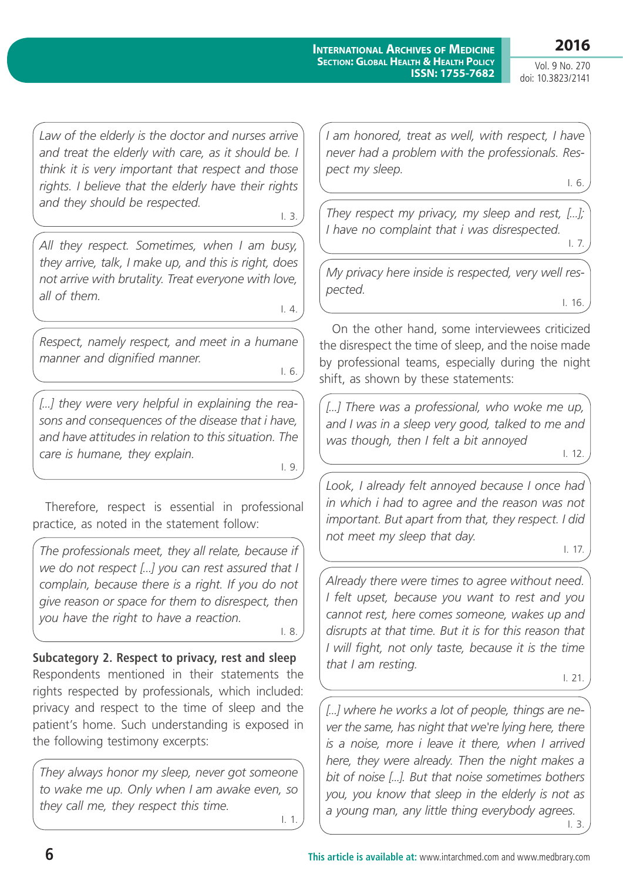#### **International Archives of Medicine Section: Global Health & Health Policy ISSN: 1755-7682**

**2016** Vol. 9 No. 270 doi: 10.3823/2141

*Law of the elderly is the doctor and nurses arrive and treat the elderly with care, as it should be. I think it is very important that respect and those rights. I believe that the elderly have their rights and they should be respected.*

I. 3.

*All they respect. Sometimes, when I am busy, they arrive, talk, I make up, and this is right, does not arrive with brutality. Treat everyone with love, all of them.* 

I. 4.

*Respect, namely respect, and meet in a humane manner and dignified manner.*

I. 6.

[...] they were very helpful in explaining the rea*sons and consequences of the disease that i have, and have attitudes in relation to this situation. The care is humane, they explain.*

I. 9.

Therefore, respect is essential in professional practice, as noted in the statement follow:

*The professionals meet, they all relate, because if we do not respect [...] you can rest assured that I complain, because there is a right. If you do not give reason or space for them to disrespect, then you have the right to have a reaction.*

I. 8.

**Subcategory 2. Respect to privacy, rest and sleep**  Respondents mentioned in their statements the rights respected by professionals, which included: privacy and respect to the time of sleep and the patient's home. Such understanding is exposed in the following testimony excerpts:

*They always honor my sleep, never got someone to wake me up. Only when I am awake even, so they call me, they respect this time.* I. 1.

*I am honored, treat as well, with respect, I have never had a problem with the professionals. Respect my sleep.* I. 6.

*They respect my privacy, my sleep and rest, [...]; I have no complaint that i was disrespected.*

I. 7.

*My privacy here inside is respected, very well respected.* I. 16.

On the other hand, some interviewees criticized the disrespect the time of sleep, and the noise made by professional teams, especially during the night shift, as shown by these statements:

*[...] There was a professional, who woke me up, and I was in a sleep very good, talked to me and was though, then I felt a bit annoyed*

I. 12.

*Look, I already felt annoyed because I once had in which i had to agree and the reason was not important. But apart from that, they respect. I did not meet my sleep that day.* 

I. 17.

*Already there were times to agree without need. I felt upset, because you want to rest and you cannot rest, here comes someone, wakes up and disrupts at that time. But it is for this reason that I will fight, not only taste, because it is the time that I am resting.* 

I. 21.

*[...] where he works a lot of people, things are never the same, has night that we're lying here, there is a noise, more i leave it there, when I arrived here, they were already. Then the night makes a bit of noise [...]. But that noise sometimes bothers you, you know that sleep in the elderly is not as a young man, any little thing everybody agrees.*  I. 3.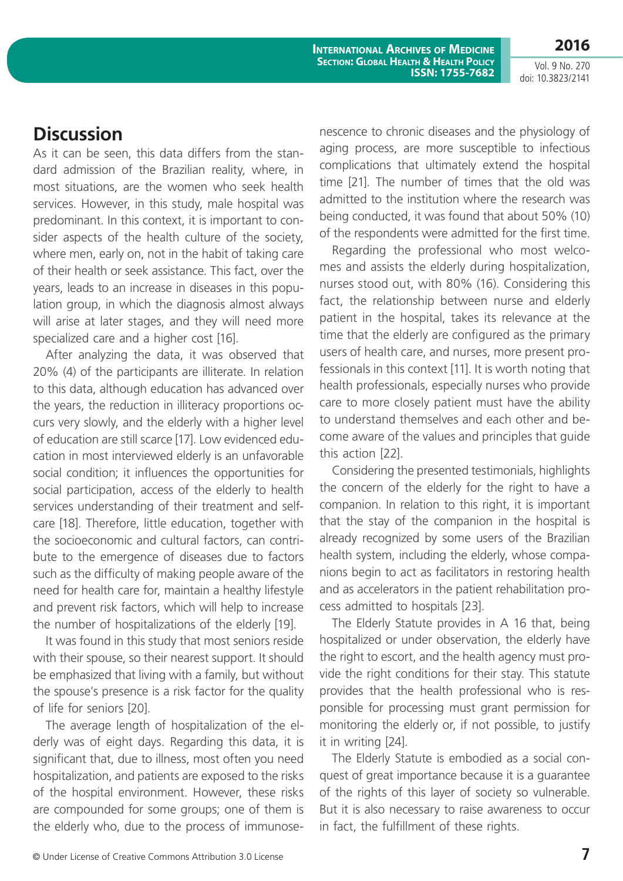**International Archives of Medicine Section: Global Health & Health Policy ISSN: 1755-7682**

Vol. 9 No. 270 doi: 10.3823/2141

### **Discussion**

As it can be seen, this data differs from the standard admission of the Brazilian reality, where, in most situations, are the women who seek health services. However, in this study, male hospital was predominant. In this context, it is important to consider aspects of the health culture of the society, where men, early on, not in the habit of taking care of their health or seek assistance. This fact, over the years, leads to an increase in diseases in this population group, in which the diagnosis almost always will arise at later stages, and they will need more specialized care and a higher cost [16].

After analyzing the data, it was observed that 20% (4) of the participants are illiterate. In relation to this data, although education has advanced over the years, the reduction in illiteracy proportions occurs very slowly, and the elderly with a higher level of education are still scarce [17]. Low evidenced education in most interviewed elderly is an unfavorable social condition; it influences the opportunities for social participation, access of the elderly to health services understanding of their treatment and selfcare [18]. Therefore, little education, together with the socioeconomic and cultural factors, can contribute to the emergence of diseases due to factors such as the difficulty of making people aware of the need for health care for, maintain a healthy lifestyle and prevent risk factors, which will help to increase the number of hospitalizations of the elderly [19].

It was found in this study that most seniors reside with their spouse, so their nearest support. It should be emphasized that living with a family, but without the spouse's presence is a risk factor for the quality of life for seniors [20].

The average length of hospitalization of the elderly was of eight days. Regarding this data, it is significant that, due to illness, most often you need hospitalization, and patients are exposed to the risks of the hospital environment. However, these risks are compounded for some groups; one of them is the elderly who, due to the process of immunosenescence to chronic diseases and the physiology of aging process, are more susceptible to infectious complications that ultimately extend the hospital time [21]. The number of times that the old was admitted to the institution where the research was being conducted, it was found that about 50% (10) of the respondents were admitted for the first time.

Regarding the professional who most welcomes and assists the elderly during hospitalization, nurses stood out, with 80% (16). Considering this fact, the relationship between nurse and elderly patient in the hospital, takes its relevance at the time that the elderly are configured as the primary users of health care, and nurses, more present professionals in this context [11]. It is worth noting that health professionals, especially nurses who provide care to more closely patient must have the ability to understand themselves and each other and become aware of the values and principles that guide this action [22].

Considering the presented testimonials, highlights the concern of the elderly for the right to have a companion. In relation to this right, it is important that the stay of the companion in the hospital is already recognized by some users of the Brazilian health system, including the elderly, whose companions begin to act as facilitators in restoring health and as accelerators in the patient rehabilitation process admitted to hospitals [23].

The Elderly Statute provides in A 16 that, being hospitalized or under observation, the elderly have the right to escort, and the health agency must provide the right conditions for their stay. This statute provides that the health professional who is responsible for processing must grant permission for monitoring the elderly or, if not possible, to justify it in writing [24].

The Elderly Statute is embodied as a social conquest of great importance because it is a guarantee of the rights of this layer of society so vulnerable. But it is also necessary to raise awareness to occur in fact, the fulfillment of these rights.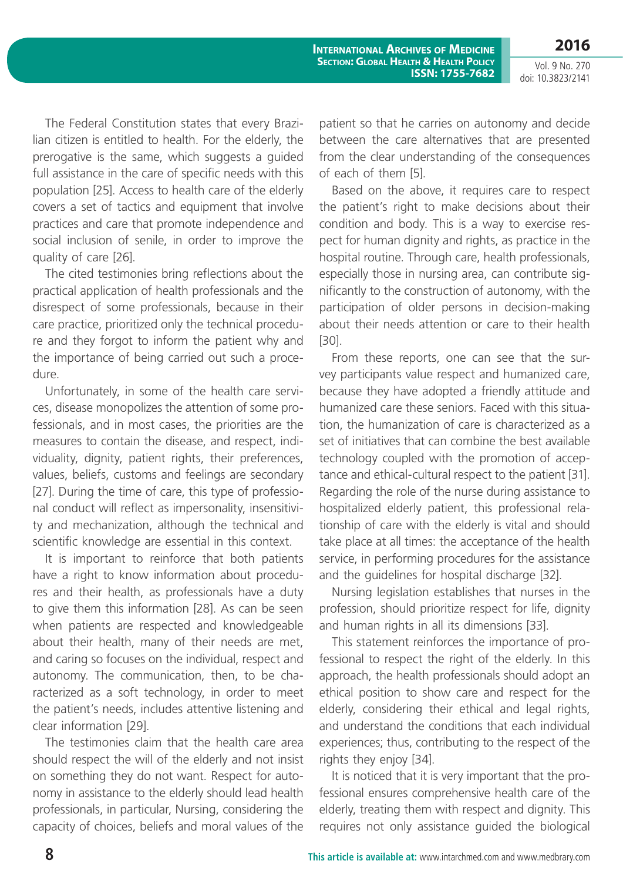Vol. 9 No. 270 doi: 10.3823/2141

The Federal Constitution states that every Brazilian citizen is entitled to health. For the elderly, the prerogative is the same, which suggests a guided full assistance in the care of specific needs with this population [25]. Access to health care of the elderly covers a set of tactics and equipment that involve practices and care that promote independence and social inclusion of senile, in order to improve the quality of care [26].

The cited testimonies bring reflections about the practical application of health professionals and the disrespect of some professionals, because in their care practice, prioritized only the technical procedure and they forgot to inform the patient why and the importance of being carried out such a procedure.

Unfortunately, in some of the health care services, disease monopolizes the attention of some professionals, and in most cases, the priorities are the measures to contain the disease, and respect, individuality, dignity, patient rights, their preferences, values, beliefs, customs and feelings are secondary [27]. During the time of care, this type of professional conduct will reflect as impersonality, insensitivity and mechanization, although the technical and scientific knowledge are essential in this context.

It is important to reinforce that both patients have a right to know information about procedures and their health, as professionals have a duty to give them this information [28]. As can be seen when patients are respected and knowledgeable about their health, many of their needs are met, and caring so focuses on the individual, respect and autonomy. The communication, then, to be characterized as a soft technology, in order to meet the patient's needs, includes attentive listening and clear information [29].

The testimonies claim that the health care area should respect the will of the elderly and not insist on something they do not want. Respect for autonomy in assistance to the elderly should lead health professionals, in particular, Nursing, considering the capacity of choices, beliefs and moral values of the patient so that he carries on autonomy and decide between the care alternatives that are presented from the clear understanding of the consequences of each of them [5].

Based on the above, it requires care to respect the patient's right to make decisions about their condition and body. This is a way to exercise respect for human dignity and rights, as practice in the hospital routine. Through care, health professionals, especially those in nursing area, can contribute significantly to the construction of autonomy, with the participation of older persons in decision-making about their needs attention or care to their health [30].

From these reports, one can see that the survey participants value respect and humanized care, because they have adopted a friendly attitude and humanized care these seniors. Faced with this situation, the humanization of care is characterized as a set of initiatives that can combine the best available technology coupled with the promotion of acceptance and ethical-cultural respect to the patient [31]. Regarding the role of the nurse during assistance to hospitalized elderly patient, this professional relationship of care with the elderly is vital and should take place at all times: the acceptance of the health service, in performing procedures for the assistance and the guidelines for hospital discharge [32].

Nursing legislation establishes that nurses in the profession, should prioritize respect for life, dignity and human rights in all its dimensions [33].

This statement reinforces the importance of professional to respect the right of the elderly. In this approach, the health professionals should adopt an ethical position to show care and respect for the elderly, considering their ethical and legal rights, and understand the conditions that each individual experiences; thus, contributing to the respect of the rights they enjoy [34].

It is noticed that it is very important that the professional ensures comprehensive health care of the elderly, treating them with respect and dignity. This requires not only assistance guided the biological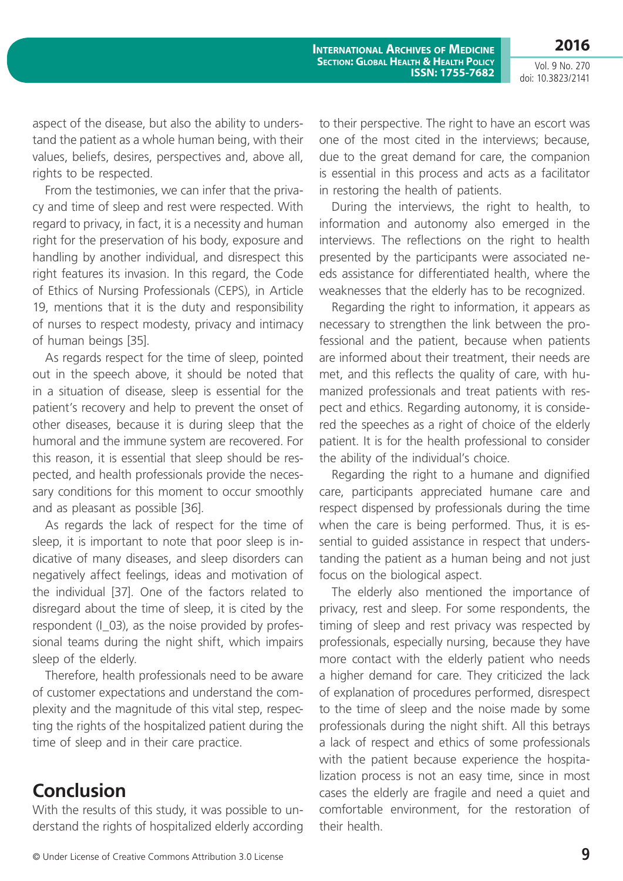aspect of the disease, but also the ability to understand the patient as a whole human being, with their values, beliefs, desires, perspectives and, above all, rights to be respected.

From the testimonies, we can infer that the privacy and time of sleep and rest were respected. With regard to privacy, in fact, it is a necessity and human right for the preservation of his body, exposure and handling by another individual, and disrespect this right features its invasion. In this regard, the Code of Ethics of Nursing Professionals (CEPS), in Article 19, mentions that it is the duty and responsibility of nurses to respect modesty, privacy and intimacy of human beings [35].

As regards respect for the time of sleep, pointed out in the speech above, it should be noted that in a situation of disease, sleep is essential for the patient's recovery and help to prevent the onset of other diseases, because it is during sleep that the humoral and the immune system are recovered. For this reason, it is essential that sleep should be respected, and health professionals provide the necessary conditions for this moment to occur smoothly and as pleasant as possible [36].

As regards the lack of respect for the time of sleep, it is important to note that poor sleep is indicative of many diseases, and sleep disorders can negatively affect feelings, ideas and motivation of the individual [37]. One of the factors related to disregard about the time of sleep, it is cited by the respondent (I\_03), as the noise provided by professional teams during the night shift, which impairs sleep of the elderly.

Therefore, health professionals need to be aware of customer expectations and understand the complexity and the magnitude of this vital step, respecting the rights of the hospitalized patient during the time of sleep and in their care practice.

## **Conclusion**

With the results of this study, it was possible to understand the rights of hospitalized elderly according to their perspective. The right to have an escort was one of the most cited in the interviews; because, due to the great demand for care, the companion is essential in this process and acts as a facilitator in restoring the health of patients.

During the interviews, the right to health, to information and autonomy also emerged in the interviews. The reflections on the right to health presented by the participants were associated needs assistance for differentiated health, where the weaknesses that the elderly has to be recognized.

Regarding the right to information, it appears as necessary to strengthen the link between the professional and the patient, because when patients are informed about their treatment, their needs are met, and this reflects the quality of care, with humanized professionals and treat patients with respect and ethics. Regarding autonomy, it is considered the speeches as a right of choice of the elderly patient. It is for the health professional to consider the ability of the individual's choice.

Regarding the right to a humane and dignified care, participants appreciated humane care and respect dispensed by professionals during the time when the care is being performed. Thus, it is essential to guided assistance in respect that understanding the patient as a human being and not just focus on the biological aspect.

The elderly also mentioned the importance of privacy, rest and sleep. For some respondents, the timing of sleep and rest privacy was respected by professionals, especially nursing, because they have more contact with the elderly patient who needs a higher demand for care. They criticized the lack of explanation of procedures performed, disrespect to the time of sleep and the noise made by some professionals during the night shift. All this betrays a lack of respect and ethics of some professionals with the patient because experience the hospitalization process is not an easy time, since in most cases the elderly are fragile and need a quiet and comfortable environment, for the restoration of their health.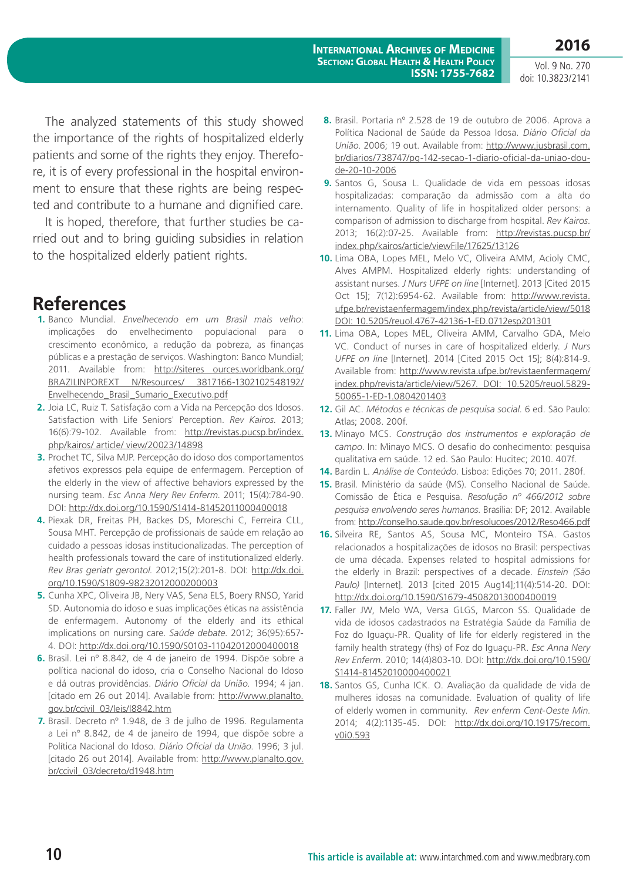The analyzed statements of this study showed the importance of the rights of hospitalized elderly patients and some of the rights they enjoy. Therefore, it is of every professional in the hospital environment to ensure that these rights are being respected and contribute to a humane and dignified care.

It is hoped, therefore, that further studies be carried out and to bring guiding subsidies in relation to the hospitalized elderly patient rights.

# **References**

- **1.** Banco Mundial. *Envelhecendo em um Brasil mais velho*: implicações do envelhecimento populacional para o crescimento econômico, a redução da pobreza, as finanças públicas e a prestação de serviços. Washington: Banco Mundial; 2011. Available from: [http://siteres ources.worldbank.org/](http://siteres ources.worldbank.org/BRAZILINPOREXT N/Resources/ 3817166-1302102548192/Envelhecendo_Brasil_Sumario_Executivo.pdf) [BRAZILINPOREXT N/Resources/ 3817166-1302102548192/](http://siteres ources.worldbank.org/BRAZILINPOREXT N/Resources/ 3817166-1302102548192/Envelhecendo_Brasil_Sumario_Executivo.pdf) [Envelhecendo\\_Brasil\\_Sumario\\_Executivo.pdf](http://siteres ources.worldbank.org/BRAZILINPOREXT N/Resources/ 3817166-1302102548192/Envelhecendo_Brasil_Sumario_Executivo.pdf)
- **2.** Joia LC, Ruiz T. Satisfação com a Vida na Percepção dos Idosos. Satisfaction with Life Seniors' Perception. *Rev Kairos*. 2013; 16(6):79-102. Available from: [http://revistas.pucsp.br/index.](http://revistas.pucsp.br/index.php/kairos/ article/ view/20023/14898) [php/kairos/ article/ view/20023/14898](http://revistas.pucsp.br/index.php/kairos/ article/ view/20023/14898)
- **3.** Prochet TC, Silva MJP. Percepção do idoso dos comportamentos afetivos expressos pela equipe de enfermagem. Perception of the elderly in the view of affective behaviors expressed by the nursing team. *Esc Anna Nery Rev Enferm*. 2011; 15(4):784-90. DOI: <http://dx.doi.org/10.1590/S1414-81452011000400018>
- **4.** Piexak DR, Freitas PH, Backes DS, Moreschi C, Ferreira CLL, Sousa MHT. Percepção de profissionais de saúde em relação ao cuidado a pessoas idosas institucionalizadas. The perception of health professionals toward the care of institutionalized elderly. *Rev Bras geriatr gerontol*. 2012;15(2):201-8. DOI: [http://dx.doi.](http://dx.doi.org/10.1590/S1809-98232012000200003) [org/10.1590/S1809-98232012000200003](http://dx.doi.org/10.1590/S1809-98232012000200003)
- **5.** Cunha XPC, Oliveira JB, Nery VAS, Sena ELS, Boery RNSO, Yarid SD. Autonomia do idoso e suas implicações éticas na assistência de enfermagem. Autonomy of the elderly and its ethical implications on nursing care. *Saúde debate*. 2012; 36(95):657- 4. DOI: <http://dx.doi.org/10.1590/S0103-11042012000400018>
- **6.** Brasil. Lei nº 8.842, de 4 de janeiro de 1994. Dispõe sobre a política nacional do idoso, cria o Conselho Nacional do Idoso e dá outras providências. *Diário Oficial da União*. 1994; 4 jan. [citado em 26 out 2014]. Available from: [http://www.planalto.](http://www.planalto.gov.br/ccivil_03/leis/l8842.htm) [gov.br/ccivil\\_03/leis/l8842.htm](http://www.planalto.gov.br/ccivil_03/leis/l8842.htm)
- **7.** Brasil. Decreto nº 1.948, de 3 de julho de 1996. Regulamenta a Lei n° 8.842, de 4 de janeiro de 1994, que dispõe sobre a Política Nacional do Idoso. *Diário Oficial da União*. 1996; 3 jul. [citado 26 out 2014]. Available from: [http://www.planalto.gov.](http://www.planalto.gov.br/ccivil_03/decreto/d1948.htm) [br/ccivil\\_03/decreto/d1948.htm](http://www.planalto.gov.br/ccivil_03/decreto/d1948.htm)
- **8.** Brasil. Portaria nº 2.528 de 19 de outubro de 2006. Aprova a Política Nacional de Saúde da Pessoa Idosa. *Diário Oficial da União*. 2006; 19 out. Available from: [http://www.jusbrasil.com.](http://www.jusbrasil.com.br/diarios/738747/pg-142-secao-1-diario-oficial-da-uniao-dou-de-20-10-2006) [br/diarios/738747/pg-142-secao-1-diario-oficial-da-uniao-dou](http://www.jusbrasil.com.br/diarios/738747/pg-142-secao-1-diario-oficial-da-uniao-dou-de-20-10-2006)[de-20-10-2006](http://www.jusbrasil.com.br/diarios/738747/pg-142-secao-1-diario-oficial-da-uniao-dou-de-20-10-2006)
- **9.** Santos G, Sousa L. Qualidade de vida em pessoas idosas hospitalizadas: comparação da admissão com a alta do internamento. Quality of life in hospitalized older persons: a comparison of admission to discharge from hospital. *Rev Kairos*. 2013; 16(2):07-25. Available from: [http://revistas.pucsp.br/](http://revistas.pucsp.br/index.php/kairos/article/viewFile/17625/13126) [index.php/kairos/article/viewFile/17625/13126](http://revistas.pucsp.br/index.php/kairos/article/viewFile/17625/13126)
- **10.** Lima OBA, Lopes MEL, Melo VC, Oliveira AMM, Acioly CMC, Alves AMPM. Hospitalized elderly rights: understanding of assistant nurses. *J Nurs UFPE on line* [Internet]. 2013 [Cited 2015 Oct 15]; 7(12):6954-62. Available from: [http://www.revista.](http://www.revista.ufpe.br/revistaenfermagem/index.php/revista/article/view/5018 DOI: 10.5205/reuol.4767-42136-1-ED.0712esp201301) [ufpe.br/revistaenfermagem/index.php/revista/article/view/5018](http://www.revista.ufpe.br/revistaenfermagem/index.php/revista/article/view/5018 DOI: 10.5205/reuol.4767-42136-1-ED.0712esp201301) [DOI: 10.5205/reuol.4767-42136-1-ED.0712esp201301](http://www.revista.ufpe.br/revistaenfermagem/index.php/revista/article/view/5018 DOI: 10.5205/reuol.4767-42136-1-ED.0712esp201301)
- **11.** Lima OBA, Lopes MEL, Oliveira AMM, Carvalho GDA, Melo VC. Conduct of nurses in care of hospitalized elderly. *J Nurs UFPE on line* [Internet]. 2014 [Cited 2015 Oct 15]; 8(4):814-9. Available from: [http://www.revista.ufpe.br/revistaenfermagem/](http://www.revista.ufpe.br/revistaenfermagem/index.php/revista/article/view/5267. DOI: 10.5205/reuol.5829-50065-1-ED-1.0804201403) [index.php/revista/article/view/5267. DOI: 10.5205/reuol.5829-](http://www.revista.ufpe.br/revistaenfermagem/index.php/revista/article/view/5267. DOI: 10.5205/reuol.5829-50065-1-ED-1.0804201403) [50065-1-ED-1.0804201403](http://www.revista.ufpe.br/revistaenfermagem/index.php/revista/article/view/5267. DOI: 10.5205/reuol.5829-50065-1-ED-1.0804201403)
- **12.** Gil AC. *Métodos e técnicas de pesquisa social*. 6 ed. São Paulo: Atlas; 2008. 200f.
- **13.** Minayo MCS. *Construção dos instrumentos e exploração de campo*. In: Minayo MCS. O desafio do conhecimento: pesquisa qualitativa em saúde. 12 ed. São Paulo: Hucitec; 2010. 407f.
- **14.** Bardin L. *Análise de Conteúdo*. Lisboa: Edições 70; 2011. 280f.
- **15.** Brasil. Ministério da saúde (MS). Conselho Nacional de Saúde. Comissão de Ética e Pesquisa. *Resolução nº 466/2012 sobre pesquisa envolvendo seres humanos*. Brasília: DF; 2012. Available from:<http://conselho.saude.gov.br/resolucoes/2012/Reso466.pdf>
- **16.** Silveira RE, Santos AS, Sousa MC, Monteiro TSA. Gastos relacionados a hospitalizações de idosos no Brasil: perspectivas de uma década. Expenses related to hospital admissions for the elderly in Brazil: perspectives of a decade. *Einstein (São Paulo)* [Internet]. 2013 [cited 2015 Aug14];11(4):514-20. DOI: <http://dx.doi.org/10.1590/S1679-45082013000400019>
- **17.** Faller JW, Melo WA, Versa GLGS, Marcon SS. Qualidade de vida de idosos cadastrados na Estratégia Saúde da Família de Foz do Iguaçu-PR. Quality of life for elderly registered in the family health strategy (fhs) of Foz do Iguaçu-PR. *Esc Anna Nery Rev Enferm*. 2010; 14(4)803-10. DOI: [http://dx.doi.org/10.1590/](http://dx.doi.org/10.1590/S1414-81452010000400021) [S1414-81452010000400021](http://dx.doi.org/10.1590/S1414-81452010000400021)
- **18.** Santos GS, Cunha ICK. O. Avaliação da qualidade de vida de mulheres idosas na comunidade. Evaluation of quality of life of elderly women in community. *Rev enferm Cent-Oeste Min*. 2014; 4(2):1135-45. DOI: [http://dx.doi.org/10.19175/recom.](http://dx.doi.org/10.19175/recom.v0i0.593) [v0i0.593](http://dx.doi.org/10.19175/recom.v0i0.593)